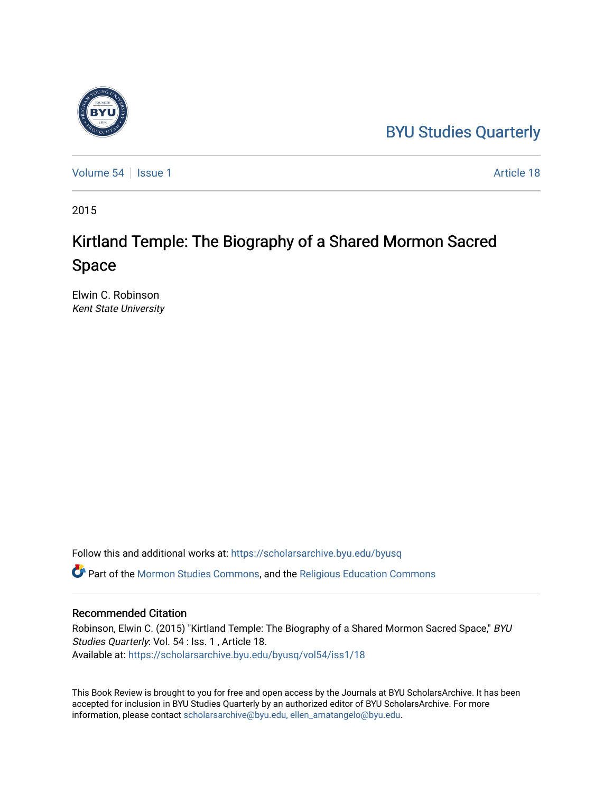## [BYU Studies Quarterly](https://scholarsarchive.byu.edu/byusq)

[Volume 54](https://scholarsarchive.byu.edu/byusq/vol54) | [Issue 1](https://scholarsarchive.byu.edu/byusq/vol54/iss1) Article 18

2015

## Kirtland Temple: The Biography of a Shared Mormon Sacred Space

Elwin C. Robinson Kent State University

Follow this and additional works at: [https://scholarsarchive.byu.edu/byusq](https://scholarsarchive.byu.edu/byusq?utm_source=scholarsarchive.byu.edu%2Fbyusq%2Fvol54%2Fiss1%2F18&utm_medium=PDF&utm_campaign=PDFCoverPages) 

Part of the [Mormon Studies Commons](http://network.bepress.com/hgg/discipline/1360?utm_source=scholarsarchive.byu.edu%2Fbyusq%2Fvol54%2Fiss1%2F18&utm_medium=PDF&utm_campaign=PDFCoverPages), and the [Religious Education Commons](http://network.bepress.com/hgg/discipline/1414?utm_source=scholarsarchive.byu.edu%2Fbyusq%2Fvol54%2Fiss1%2F18&utm_medium=PDF&utm_campaign=PDFCoverPages) 

## Recommended Citation

Robinson, Elwin C. (2015) "Kirtland Temple: The Biography of a Shared Mormon Sacred Space," BYU Studies Quarterly: Vol. 54 : Iss. 1 , Article 18. Available at: [https://scholarsarchive.byu.edu/byusq/vol54/iss1/18](https://scholarsarchive.byu.edu/byusq/vol54/iss1/18?utm_source=scholarsarchive.byu.edu%2Fbyusq%2Fvol54%2Fiss1%2F18&utm_medium=PDF&utm_campaign=PDFCoverPages) 

This Book Review is brought to you for free and open access by the Journals at BYU ScholarsArchive. It has been accepted for inclusion in BYU Studies Quarterly by an authorized editor of BYU ScholarsArchive. For more information, please contact [scholarsarchive@byu.edu, ellen\\_amatangelo@byu.edu.](mailto:scholarsarchive@byu.edu,%20ellen_amatangelo@byu.edu)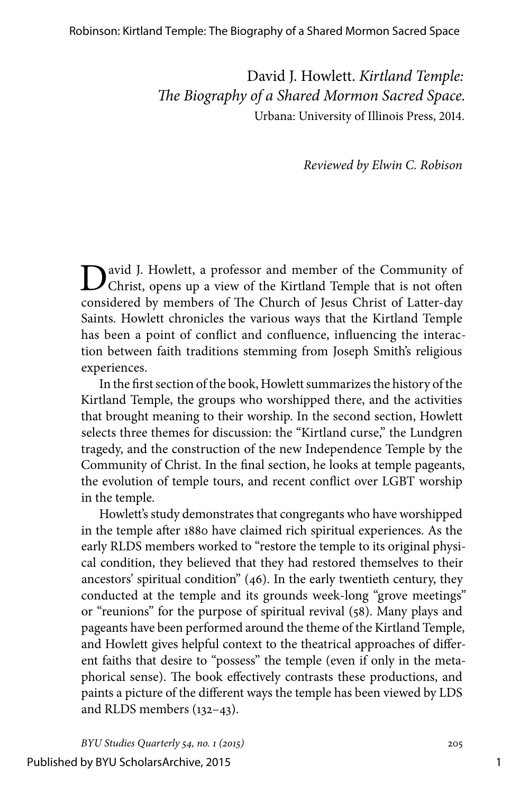David J. Howlett. *Kirtland Temple: The Biography of a Shared Mormon Sacred Space.* Urbana: University of Illinois Press, 2014.

*Reviewed by Elwin C. Robison*

David J. Howlett, a professor and member of the Community of Christ, opens up a view of the Kirtland Temple that is not often considered by members of The Church of Jesus Christ of Latter-day Saints. Howlett chronicles the various ways that the Kirtland Temple has been a point of conflict and confluence, influencing the interaction between faith traditions stemming from Joseph Smith's religious experiences.

In the first section of the book, Howlett summarizes the history of the Kirtland Temple, the groups who worshipped there, and the activities that brought meaning to their worship. In the second section, Howlett selects three themes for discussion: the "Kirtland curse," the Lundgren tragedy, and the construction of the new Independence Temple by the Community of Christ. In the final section, he looks at temple pageants, the evolution of temple tours, and recent conflict over LGBT worship in the temple.

Howlett's study demonstrates that congregants who have worshipped in the temple after 1880 have claimed rich spiritual experiences. As the early RLDS members worked to "restore the temple to its original physical condition, they believed that they had restored themselves to their ancestors' spiritual condition" (46). In the early twentieth century, they conducted at the temple and its grounds week-long "grove meetings" or "reunions" for the purpose of spiritual revival (58). Many plays and pageants have been performed around the theme of the Kirtland Temple, and Howlett gives helpful context to the theatrical approaches of different faiths that desire to "possess" the temple (even if only in the metaphorical sense). The book effectively contrasts these productions, and paints a picture of the different ways the temple has been viewed by LDS and RLDS members (132–43).

*BYU Studies Quarterly 54, no. 1 (2015)* 205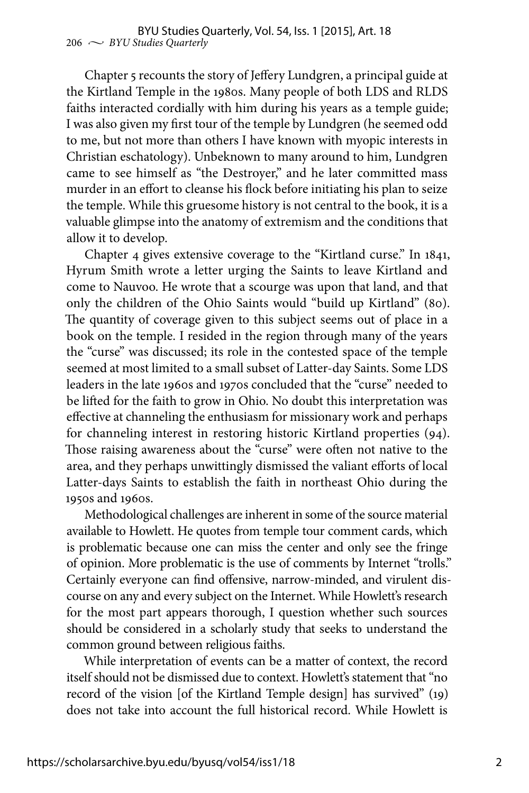Chapter 5 recounts the story of Jeffery Lundgren, a principal guide at the Kirtland Temple in the 1980s. Many people of both LDS and RLDS faiths interacted cordially with him during his years as a temple guide; I was also given my first tour of the temple by Lundgren (he seemed odd to me, but not more than others I have known with myopic interests in Christian eschatology). Unbeknown to many around to him, Lundgren came to see himself as "the Destroyer," and he later committed mass murder in an effort to cleanse his flock before initiating his plan to seize the temple. While this gruesome history is not central to the book, it is a valuable glimpse into the anatomy of extremism and the conditions that allow it to develop.

Chapter 4 gives extensive coverage to the "Kirtland curse." In 1841, Hyrum Smith wrote a letter urging the Saints to leave Kirtland and come to Nauvoo. He wrote that a scourge was upon that land, and that only the children of the Ohio Saints would "build up Kirtland" (80). The quantity of coverage given to this subject seems out of place in a book on the temple. I resided in the region through many of the years the "curse" was discussed; its role in the contested space of the temple seemed at most limited to a small subset of Latter-day Saints. Some LDS leaders in the late 1960s and 1970s concluded that the "curse" needed to be lifted for the faith to grow in Ohio. No doubt this interpretation was effective at channeling the enthusiasm for missionary work and perhaps for channeling interest in restoring historic Kirtland properties (94). Those raising awareness about the "curse" were often not native to the area, and they perhaps unwittingly dismissed the valiant efforts of local Latter-days Saints to establish the faith in northeast Ohio during the 1950s and 1960s.

Methodological challenges are inherent in some of the source material available to Howlett. He quotes from temple tour comment cards, which is problematic because one can miss the center and only see the fringe of opinion. More problematic is the use of comments by Internet "trolls." Certainly everyone can find offensive, narrow-minded, and virulent discourse on any and every subject on the Internet. While Howlett's research for the most part appears thorough, I question whether such sources should be considered in a scholarly study that seeks to understand the common ground between religious faiths.

While interpretation of events can be a matter of context, the record itself should not be dismissed due to context. Howlett's statement that "no record of the vision [of the Kirtland Temple design] has survived" (19) does not take into account the full historical record. While Howlett is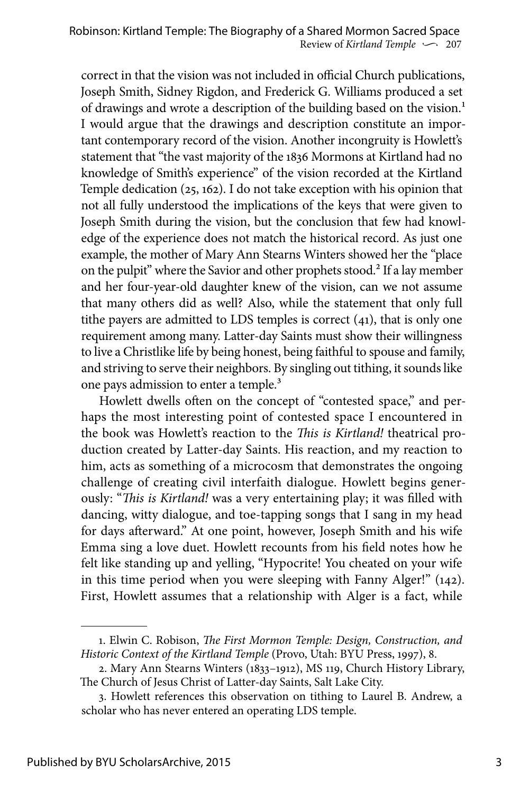correct in that the vision was not included in official Church publications, Joseph Smith, Sidney Rigdon, and Frederick G. Williams produced a set of drawings and wrote a description of the building based on the vision.<sup>1</sup> I would argue that the drawings and description constitute an important contemporary record of the vision. Another incongruity is Howlett's statement that "the vast majority of the 1836 Mormons at Kirtland had no knowledge of Smith's experience" of the vision recorded at the Kirtland Temple dedication (25, 162). I do not take exception with his opinion that not all fully understood the implications of the keys that were given to Joseph Smith during the vision, but the conclusion that few had knowledge of the experience does not match the historical record. As just one example, the mother of Mary Ann Stearns Winters showed her the "place on the pulpit" where the Savior and other prophets stood.2 If a lay member and her four-year-old daughter knew of the vision, can we not assume that many others did as well? Also, while the statement that only full tithe payers are admitted to LDS temples is correct  $(41)$ , that is only one requirement among many. Latter-day Saints must show their willingness to live a Christlike life by being honest, being faithful to spouse and family, and striving to serve their neighbors. By singling out tithing, it sounds like one pays admission to enter a temple.<sup>3</sup>

Howlett dwells often on the concept of "contested space," and perhaps the most interesting point of contested space I encountered in the book was Howlett's reaction to the *This is Kirtland!* theatrical production created by Latter-day Saints. His reaction, and my reaction to him, acts as something of a microcosm that demonstrates the ongoing challenge of creating civil interfaith dialogue. Howlett begins generously: "*This is Kirtland!* was a very entertaining play; it was filled with dancing, witty dialogue, and toe-tapping songs that I sang in my head for days afterward." At one point, however, Joseph Smith and his wife Emma sing a love duet. Howlett recounts from his field notes how he felt like standing up and yelling, "Hypocrite! You cheated on your wife in this time period when you were sleeping with Fanny Alger!" (142). First, Howlett assumes that a relationship with Alger is a fact, while

<sup>1.</sup> Elwin C. Robison, *The First Mormon Temple: Design, Construction, and Historic Context of the Kirtland Temple* (Provo, Utah: BYU Press, 1997), 8.

<sup>2.</sup> Mary Ann Stearns Winters (1833–1912), MS 119, Church History Library, The Church of Jesus Christ of Latter-day Saints, Salt Lake City.

<sup>3.</sup> Howlett references this observation on tithing to Laurel B. Andrew, a scholar who has never entered an operating LDS temple.